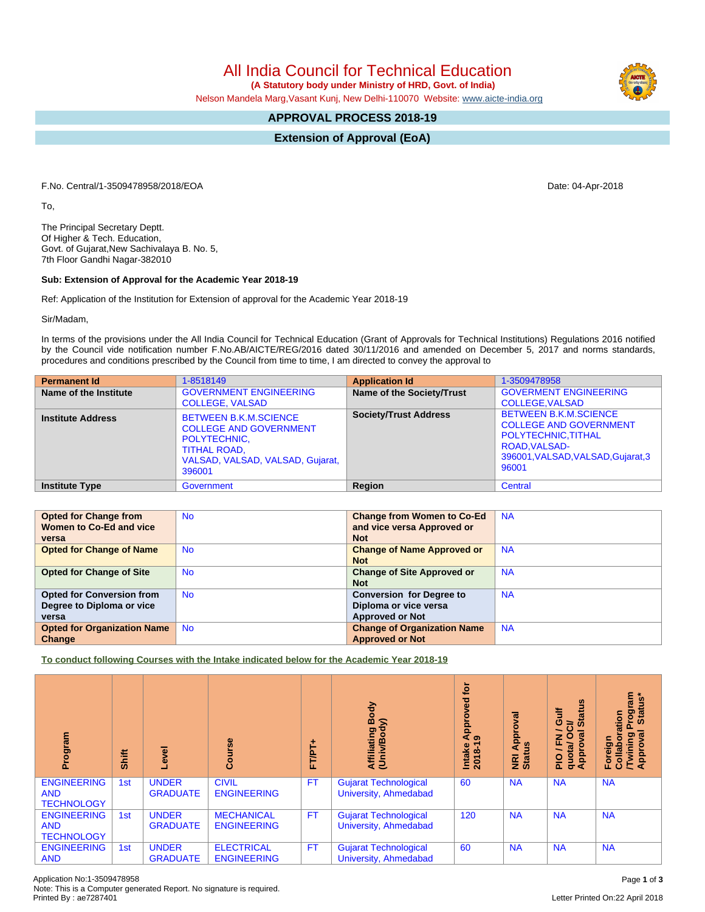Application No:1-3509478958 Page **1** of **3** Note: This is a Computer generated Report. No signature is required.

All India Council for Technical Education

 **(A Statutory body under Ministry of HRD, Govt. of India)**

Nelson Mandela Marg,Vasant Kunj, New Delhi-110070 Website: [www.aicte-india.org](http://www.aicte-india.org)

## **APPROVAL PROCESS 2018-19**

**Extension of Approval (EoA)**

F.No. Central/1-3509478958/2018/EOA Date: 04-Apr-2018

To,

The Principal Secretary Deptt. Of Higher & Tech. Education, Govt. of Gujarat,New Sachivalaya B. No. 5, 7th Floor Gandhi Nagar-382010

## **Sub: Extension of Approval for the Academic Year 2018-19**

Ref: Application of the Institution for Extension of approval for the Academic Year 2018-19

Sir/Madam,

In terms of the provisions under the All India Council for Technical Education (Grant of Approvals for Technical Institutions) Regulations 2016 notified by the Council vide notification number F.No.AB/AICTE/REG/2016 dated 30/11/2016 and amended on December 5, 2017 and norms standards, procedures and conditions prescribed by the Council from time to time, I am directed to convey the approval to

| <b>Permanent Id</b>      | 1-8518149                                                                                                                                          | <b>Application Id</b>            | 1-3509478958                                                                                                                                                |
|--------------------------|----------------------------------------------------------------------------------------------------------------------------------------------------|----------------------------------|-------------------------------------------------------------------------------------------------------------------------------------------------------------|
| Name of the Institute    | <b>GOVERNMENT ENGINEERING</b><br><b>COLLEGE, VALSAD</b>                                                                                            | <b>Name of the Society/Trust</b> | <b>GOVERMENT ENGINEERING</b><br><b>COLLEGE, VALSAD</b>                                                                                                      |
| <b>Institute Address</b> | <b>BETWEEN B.K.M.SCIENCE</b><br><b>COLLEGE AND GOVERNMENT</b><br>POLYTECHNIC,<br><b>TITHAL ROAD,</b><br>VALSAD, VALSAD, VALSAD, Gujarat,<br>396001 | <b>Society/Trust Address</b>     | <b>BETWEEN B.K.M.SCIENCE</b><br><b>COLLEGE AND GOVERNMENT</b><br>POLYTECHNIC, TITHAL<br><b>ROAD, VALSAD-</b><br>396001, VALSAD, VALSAD, Gujarat, 3<br>96001 |
| <b>Institute Type</b>    | Government                                                                                                                                         | Region                           | Central                                                                                                                                                     |

| <b>Opted for Change from</b>       | <b>No</b> | <b>Change from Women to Co-Ed</b>  | <b>NA</b> |
|------------------------------------|-----------|------------------------------------|-----------|
| Women to Co-Ed and vice            |           | and vice versa Approved or         |           |
| versa                              |           | <b>Not</b>                         |           |
| <b>Opted for Change of Name</b>    | <b>No</b> | <b>Change of Name Approved or</b>  | <b>NA</b> |
|                                    |           | <b>Not</b>                         |           |
| <b>Opted for Change of Site</b>    | <b>No</b> | <b>Change of Site Approved or</b>  | <b>NA</b> |
|                                    |           | <b>Not</b>                         |           |
| <b>Opted for Conversion from</b>   | <b>No</b> | <b>Conversion for Degree to</b>    | <b>NA</b> |
| Degree to Diploma or vice          |           | Diploma or vice versa              |           |
| versa                              |           | <b>Approved or Not</b>             |           |
| <b>Opted for Organization Name</b> | <b>No</b> | <b>Change of Organization Name</b> | <b>NA</b> |
| Change                             |           | <b>Approved or Not</b>             |           |

**To conduct following Courses with the Intake indicated below for the Academic Year 2018-19**

| rogram<br>ō.                                          | Shift | Ţ                               | rse<br>ပ္ပ်ိ                            | ۰<br>FT/PT | Body<br>$\mathbf{\hat{s}}$<br>Affiliating<br>(Univ/Bodv | Įō<br>yed<br>App<br>െ<br>Intake<br>2018-1 | ಹ<br>၀<br>Appr<br><b>NRI Ap<br/>Status</b> | <b>U)</b><br>Gulf<br><b>Stat</b><br>≃<br>œ<br>z<br>ц,<br>quota/<br>Approv<br>ppro <sup>®</sup><br><b>PIO</b> | <b>E</b><br>ish<br>rogra<br>Stat<br>ation<br>$\overline{\mathfrak{a}}$<br><b>Twining</b><br>Approval<br>Foreign<br>Collat |
|-------------------------------------------------------|-------|---------------------------------|-----------------------------------------|------------|---------------------------------------------------------|-------------------------------------------|--------------------------------------------|--------------------------------------------------------------------------------------------------------------|---------------------------------------------------------------------------------------------------------------------------|
| <b>ENGINEERING</b><br><b>AND</b><br><b>TECHNOLOGY</b> | 1st   | <b>UNDER</b><br><b>GRADUATE</b> | <b>CIVIL</b><br><b>ENGINEERING</b>      | <b>FT</b>  | Gujarat Technological<br>University, Ahmedabad          | 60                                        | <b>NA</b>                                  | <b>NA</b>                                                                                                    | <b>NA</b>                                                                                                                 |
| <b>ENGINEERING</b><br><b>AND</b><br><b>TECHNOLOGY</b> | 1st   | <b>UNDER</b><br><b>GRADUATE</b> | <b>MECHANICAL</b><br><b>ENGINEERING</b> | <b>FT</b>  | <b>Gujarat Technological</b><br>University, Ahmedabad   | 120                                       | <b>NA</b>                                  | <b>NA</b>                                                                                                    | <b>NA</b>                                                                                                                 |
| <b>ENGINEERING</b><br><b>AND</b>                      | 1st   | <b>UNDER</b><br><b>GRADUATE</b> | <b>ELECTRICAL</b><br><b>ENGINEERING</b> | <b>FT</b>  | <b>Gujarat Technological</b><br>University, Ahmedabad   | 60                                        | <b>NA</b>                                  | <b>NA</b>                                                                                                    | <b>NA</b>                                                                                                                 |

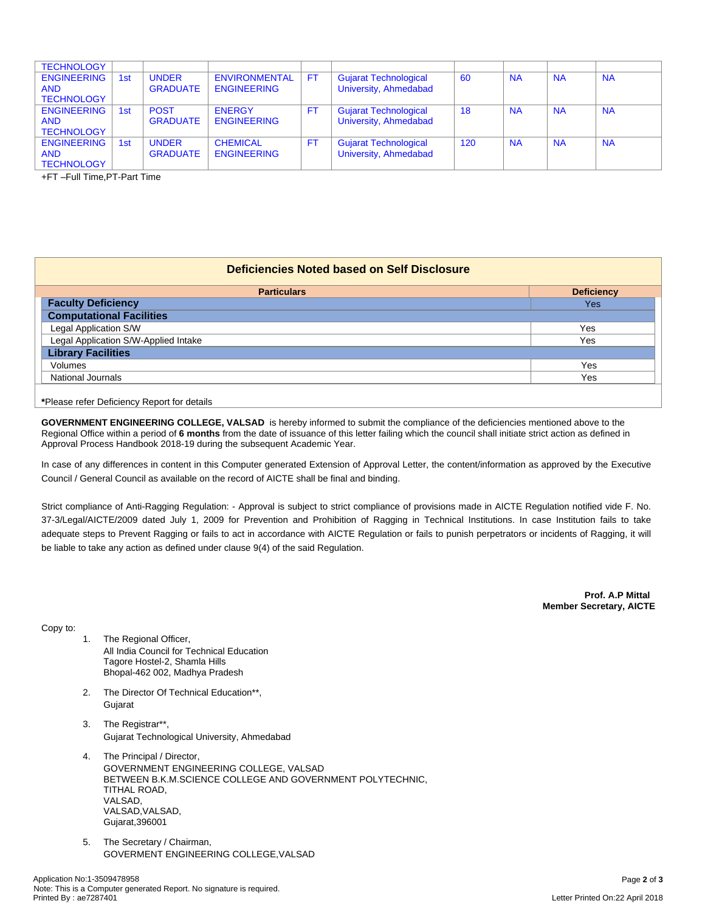| <b>TECHNOLOGY</b>                                     |                 |                                 |                                            |           |                                                       |     |           |           |           |
|-------------------------------------------------------|-----------------|---------------------------------|--------------------------------------------|-----------|-------------------------------------------------------|-----|-----------|-----------|-----------|
| <b>ENGINEERING</b><br><b>AND</b><br><b>TECHNOLOGY</b> | 1 <sub>st</sub> | <b>UNDER</b><br><b>GRADUATE</b> | <b>ENVIRONMENTAL</b><br><b>ENGINEERING</b> | <b>FT</b> | <b>Gujarat Technological</b><br>University, Ahmedabad | 60  | <b>NA</b> | <b>NA</b> | <b>NA</b> |
| <b>ENGINEERING</b><br><b>AND</b><br><b>TECHNOLOGY</b> | 1 <sub>st</sub> | <b>POST</b><br><b>GRADUATE</b>  | <b>ENERGY</b><br><b>ENGINEERING</b>        | FT.       | <b>Gujarat Technological</b><br>University, Ahmedabad | 18  | <b>NA</b> | <b>NA</b> | <b>NA</b> |
| <b>ENGINEERING</b><br><b>AND</b><br><b>TECHNOLOGY</b> | 1 <sub>st</sub> | <b>UNDER</b><br><b>GRADUATE</b> | <b>CHEMICAL</b><br><b>ENGINEERING</b>      | FT.       | <b>Gujarat Technological</b><br>University, Ahmedabad | 120 | <b>NA</b> | <b>NA</b> | <b>NA</b> |

+FT –Full Time,PT-Part Time

## **Deficiencies Noted based on Self Disclosure**

| <b>Particulars</b>                   | <b>Deficiency</b> |  |  |  |
|--------------------------------------|-------------------|--|--|--|
| <b>Faculty Deficiency</b>            | Yes               |  |  |  |
| <b>Computational Facilities</b>      |                   |  |  |  |
| Legal Application S/W                | Yes               |  |  |  |
| Legal Application S/W-Applied Intake | Yes               |  |  |  |
| <b>Library Facilities</b>            |                   |  |  |  |
| Volumes<br>Yes                       |                   |  |  |  |
| <b>National Journals</b>             | Yes               |  |  |  |
|                                      |                   |  |  |  |

**\***Please refer Deficiency Report for details

**GOVERNMENT ENGINEERING COLLEGE, VALSAD** is hereby informed to submit the compliance of the deficiencies mentioned above to the Regional Office within a period of **6 months** from the date of issuance of this letter failing which the council shall initiate strict action as defined in Approval Process Handbook 2018-19 during the subsequent Academic Year.

In case of any differences in content in this Computer generated Extension of Approval Letter, the content/information as approved by the Executive Council / General Council as available on the record of AICTE shall be final and binding.

Strict compliance of Anti-Ragging Regulation: - Approval is subject to strict compliance of provisions made in AICTE Regulation notified vide F. No. 37-3/Legal/AICTE/2009 dated July 1, 2009 for Prevention and Prohibition of Ragging in Technical Institutions. In case Institution fails to take adequate steps to Prevent Ragging or fails to act in accordance with AICTE Regulation or fails to punish perpetrators or incidents of Ragging, it will be liable to take any action as defined under clause 9(4) of the said Regulation.

> **Prof. A.P Mittal Member Secretary, AICTE**

Copy to:

- 1. The Regional Officer, All India Council for Technical Education Tagore Hostel-2, Shamla Hills Bhopal-462 002, Madhya Pradesh
- 2. The Director Of Technical Education\*\*, Gujarat
- 3. The Registrar\*\*, Gujarat Technological University, Ahmedabad
- 4. The Principal / Director, GOVERNMENT ENGINEERING COLLEGE, VALSAD BETWEEN B.K.M.SCIENCE COLLEGE AND GOVERNMENT POLYTECHNIC, TITHAL ROAD, VALSAD, VALSAD,VALSAD, Gujarat,396001
- 5. The Secretary / Chairman, GOVERMENT ENGINEERING COLLEGE,VALSAD